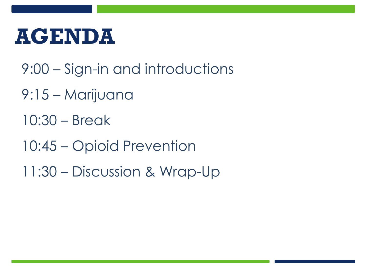### **AGENDA**

- 9:00 Sign-in and introductions
- 9:15 Marijuana
- 10:30 Break
- 10:45 Opioid Prevention
- 11:30 Discussion & Wrap-Up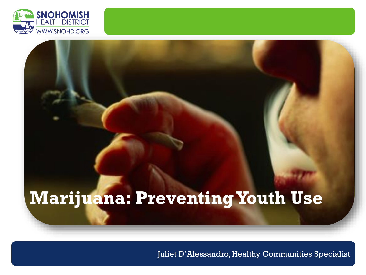

#### **Marijuana: Preventing Youth Use**

Juliet D'Alessandro, Healthy Communities Specialist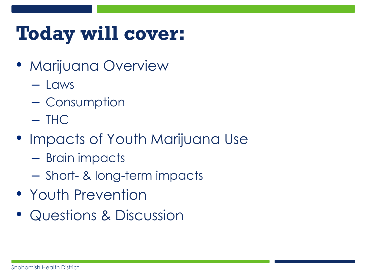### **Today will cover:**

- Marijuana Overview
	- Laws
	- Consumption
	- $-$  THC
- Impacts of Youth Marijuana Use
	- Brain impacts
	- Short- & long-term impacts
- Youth Prevention
- Questions & Discussion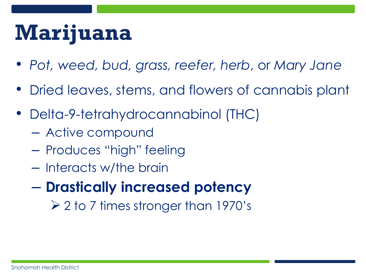### **Marijuana**

- *Pot, weed, bud, grass, reefer, herb*, or *Mary Jane*
- Dried leaves, stems, and flowers of cannabis plant
- Delta-9-tetrahydrocannabinol (THC)
	- Active compound
	- Produces "high" feeling
	- Interacts w/the brain
	- **Drastically increased potency**
		- $\geq$  2 to 7 times stronger than 1970's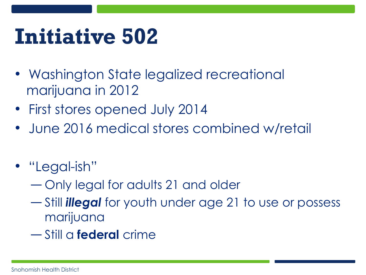### **Initiative 502**

- Washington State legalized recreational marijuana in 2012
- First stores opened July 2014
- June 2016 medical stores combined w/retail
- "Legal-ish"
	- ― Only legal for adults 21 and older
	- ― Still *illegal* for youth under age 21 to use or possess marijuana
	- ― Still a **federal** crime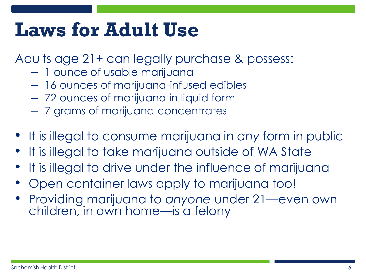#### **Laws for Adult Use**

Adults age 21+ can legally purchase & possess:

- 1 ounce of usable marijuana
- 16 ounces of marijuana-infused edibles
- 72 ounces of marijuana in liquid form
- 7 grams of marijuana concentrates
- It is illegal to consume marijuana in *any* form in public
- It is illegal to take marijuana outside of WA State
- It is illegal to drive under the influence of marijuana
- Open container laws apply to marijuana too!
- Providing marijuana to *anyone* under 21—even own children, in own home—is a felony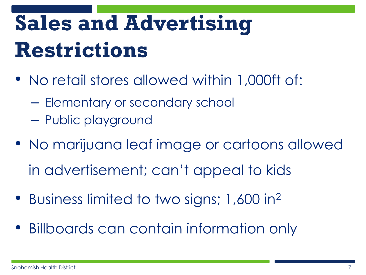# **Sales and Advertising Restrictions**

- No retail stores allowed within 1,000ft of:
	- Elementary or secondary school
	- Public playground
- No marijuana leaf image or cartoons allowed in advertisement; can't appeal to kids
- Business limited to two signs; 1,600 in<sup>2</sup>
- Billboards can contain information only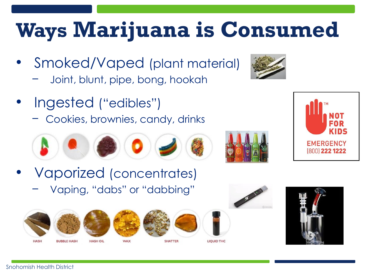## **Ways Marijuana is Consumed**

- Smoked/Vaped (plant material)
	- Joint, blunt, pipe, bong, hookah
- Ingested ("edibles")
	- − Cookies, brownies, candy, drinks



- Vaporized (concentrates)
	- − Vaping, "dabs" or "dabbing"







**WAX** 



**SHATTER** 

**LIQUID THC** 







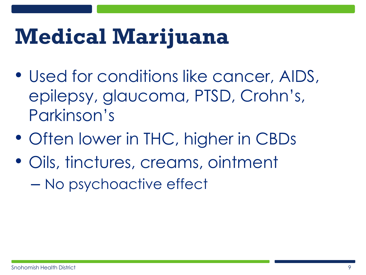### **Medical Marijuana**

- Used for conditions like cancer, AIDS, epilepsy, glaucoma, PTSD, Crohn's, Parkinson's
- Often lower in THC, higher in CBDs
- Oils, tinctures, creams, ointment – No psychoactive effect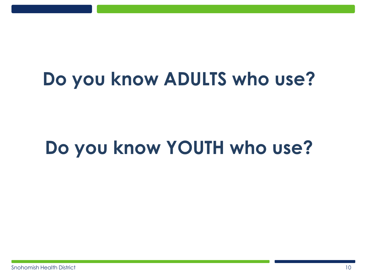#### **Do you know ADULTS who use?**

#### **Do you know YOUTH who use?**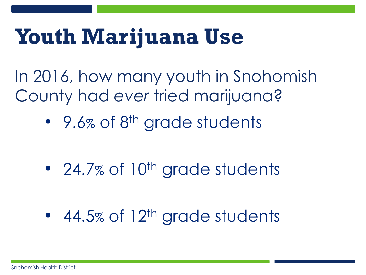### **Youth Marijuana Use**

In 2016, how many youth in Snohomish County had *ever* tried marijuana?

• 9.6% of 8<sup>th</sup> grade students

- 24.7% of  $10<sup>th</sup>$  grade students
- 44.5% of  $12<sup>th</sup>$  grade students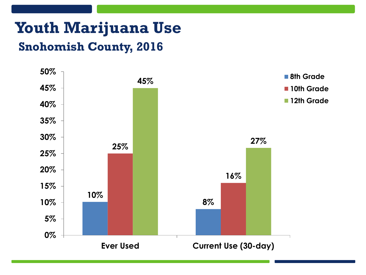#### **Youth Marijuana Use Snohomish County, 2016**

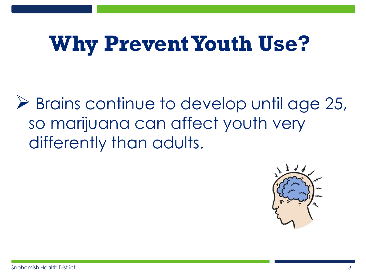## **Why Prevent Youth Use?**

**► Brains continue to develop until age 25,** so marijuana can affect youth very differently than adults.

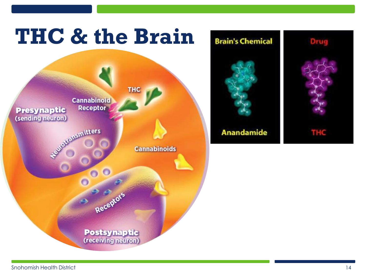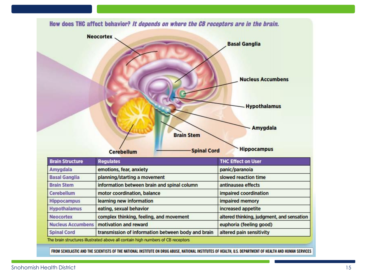

FROM SCHOLASTIC AND THE SCIENTISTS OF THE NATIONAL INSTITUTE ON DRUG ABUSE, NATIONAL INSTITUTES OF HEALTH, U.S. DEPARTMENT OF HEALTH AND HUMAN SERVICES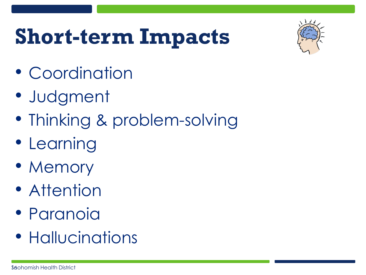### **Short-term Impacts**



- Coordination
- Judgment
- Thinking & problem-solving
- Learning
- Memory
- Attention
- Paranoia
- Hallucinations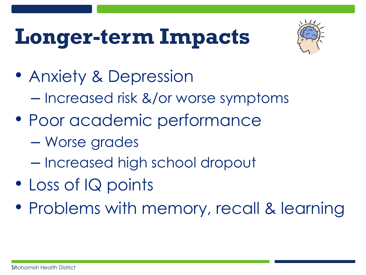# **Longer-term Impacts**



- Anxiety & Depression – Increased risk &/or worse symptoms
- Poor academic performance
	- Worse grades
	- Increased high school dropout
- Loss of IQ points
- Problems with memory, recall & learning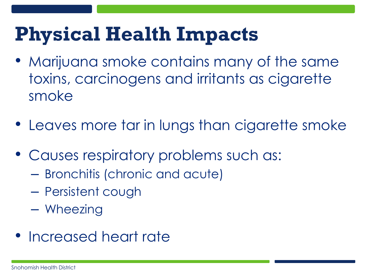### **Physical Health Impacts**

- Marijuana smoke contains many of the same toxins, carcinogens and irritants as cigarette smoke
- Leaves more tar in lungs than cigarette smoke
- Causes respiratory problems such as:
	- Bronchitis (chronic and acute)
	- Persistent cough
	- Wheezing
- Increased heart rate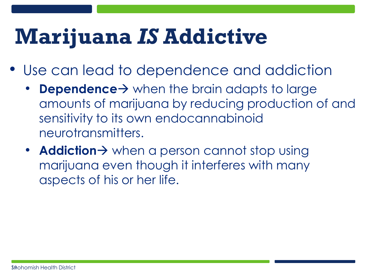### **Marijuana** *IS* **Addictive**

- Use can lead to dependence and addiction
	- **Dependence**  $\rightarrow$  when the brain adapts to large amounts of marijuana by reducing production of and sensitivity to its own endocannabinoid neurotransmitters.
	- **Addiction** > when a person cannot stop using marijuana even though it interferes with many aspects of his or her life.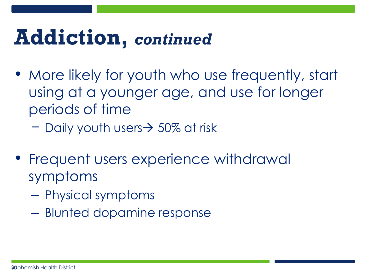### **Addiction,** *continued*

- More likely for youth who use frequently, start using at a younger age, and use for longer periods of time
	- − Daily youth users 50% at risk
- Frequent users experience withdrawal symptoms
	- Physical symptoms
	- Blunted dopamine response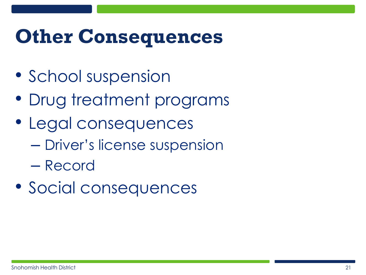#### **Other Consequences**

- School suspension
- Drug treatment programs
- Legal consequences
	- Driver's license suspension
	- Record
- Social consequences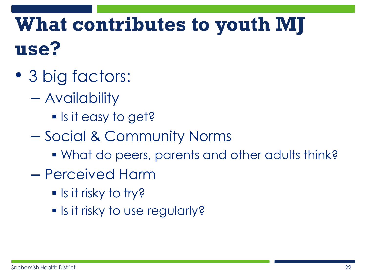### **What contributes to youth MJ use?**

- 3 big factors:
	- Availability
		- Is it easy to get?
	- Social & Community Norms
		- What do peers, parents and other adults think?
	- Perceived Harm
		- **Iour is it risky to try?**
		- **Is it risky to use regularly?**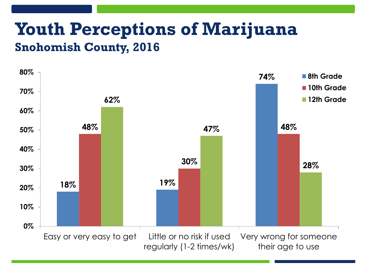#### **Youth Perceptions of Marijuana Snohomish County, 2016**

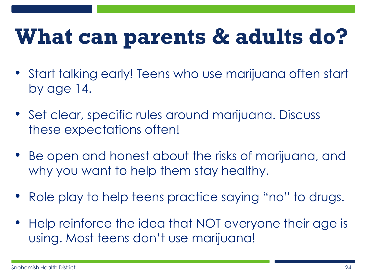## **What can parents & adults do?**

- Start talking early! Teens who use marijuana often start by age 14.
- Set clear, specific rules around marijuana. Discuss these expectations often!
- Be open and honest about the risks of marijuana, and why you want to help them stay healthy.
- Role play to help teens practice saying "no" to drugs.
- Help reinforce the idea that NOT everyone their age is using. Most teens don't use marijuana!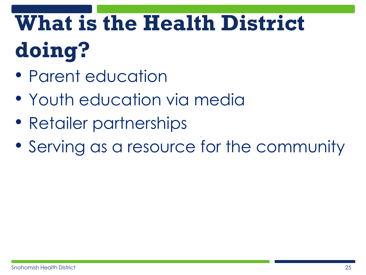# **What is the Health District doing?**

- Parent education
- Youth education via media
- Retailer partnerships
- Serving as a resource for the community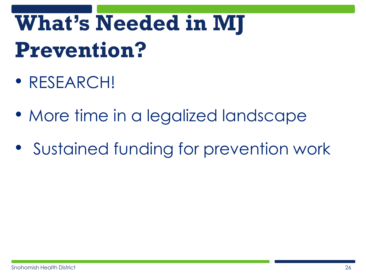# **What's Needed in MJ Prevention?**

- RESEARCH!
- More time in a legalized landscape
- Sustained funding for prevention work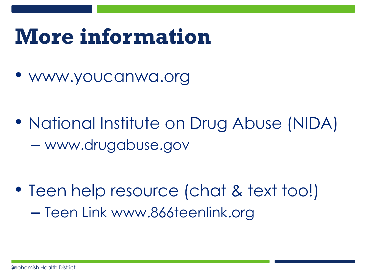### **More information**

• www.youcanwa.org

• National Institute on Drug Abuse (NIDA) – www.drugabuse.gov

• Teen help resource (chat & text too!) – Teen Link www.866teenlink.org